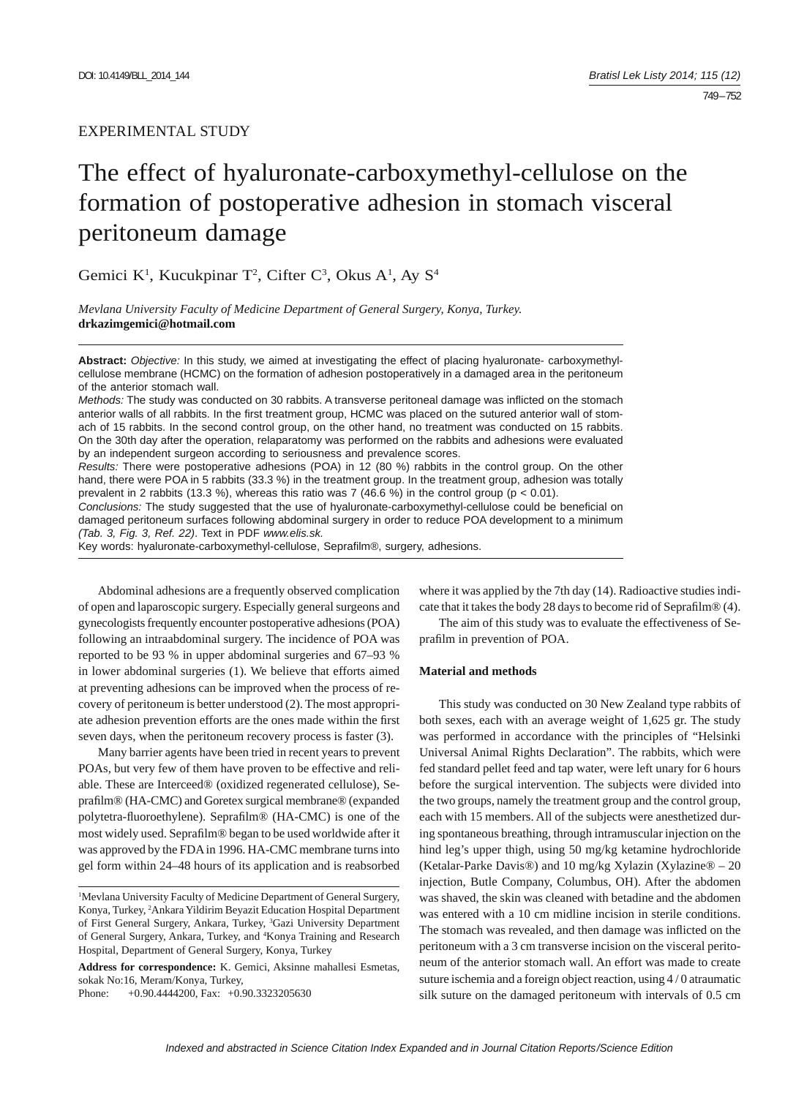# EXPERIMENTAL STUDY

# The effect of hyaluronate-carboxymethyl-cellulose on the formation of postoperative adhesion in stomach visceral peritoneum damage

Gemici K<sup>1</sup>, Kucukpinar T<sup>2</sup>, Cifter C<sup>3</sup>, Okus A<sup>1</sup>, Ay S<sup>4</sup>

*Mevlana University Faculty of Medicine Department of General Surgery, Konya, Turkey.*  **drkazimgemici@hotmail.com**

**Abstract:** *Objective:* In this study, we aimed at investigating the effect of placing hyaluronate- carboxymethylcellulose membrane (HCMC) on the formation of adhesion postoperatively in a damaged area in the peritoneum of the anterior stomach wall.

*Methods:* The study was conducted on 30 rabbits. A transverse peritoneal damage was inflicted on the stomach anterior walls of all rabbits. In the first treatment group, HCMC was placed on the sutured anterior wall of stomach of 15 rabbits. In the second control group, on the other hand, no treatment was conducted on 15 rabbits. On the 30th day after the operation, relaparatomy was performed on the rabbits and adhesions were evaluated by an independent surgeon according to seriousness and prevalence scores.

*Results:* There were postoperative adhesions (POA) in 12 (80 %) rabbits in the control group. On the other hand, there were POA in 5 rabbits (33.3 %) in the treatment group. In the treatment group, adhesion was totally prevalent in 2 rabbits (13.3 %), whereas this ratio was 7 (46.6 %) in the control group ( $p < 0.01$ ).

*Conclusions:* The study suggested that the use of hyaluronate-carboxymethyl-cellulose could be beneficial on damaged peritoneum surfaces following abdominal surgery in order to reduce POA development to a minimum *(Tab. 3, Fig. 3, Ref. 22)*. Text in PDF *www.elis.sk.*

Key words: hyaluronate-carboxymethyl-cellulose, Seprafilm®, surgery, adhesions.

Abdominal adhesions are a frequently observed complication of open and laparoscopic surgery. Especially general surgeons and gynecologists frequently encounter postoperative adhesions (POA) following an intraabdominal surgery. The incidence of POA was reported to be 93 % in upper abdominal surgeries and 67–93 % in lower abdominal surgeries (1). We believe that efforts aimed at preventing adhesions can be improved when the process of recovery of peritoneum is better understood (2). The most appropriate adhesion prevention efforts are the ones made within the first seven days, when the peritoneum recovery process is faster (3).

Many barrier agents have been tried in recent years to prevent POAs, but very few of them have proven to be effective and reliable. These are Interceed® (oxidized regenerated cellulose), Seprafilm® (HA-CMC) and Goretex surgical membrane® (expanded polytetra-fluoroethylene). Seprafilm® (HA-CMC) is one of the most widely used. Seprafilm® began to be used worldwide after it was approved by the FDA in 1996. HA-CMC membrane turns into gel form within 24–48 hours of its application and is reabsorbed

**Address for correspondence:** K. Gemici, Aksinne mahallesi Esmetas, sokak No:16, Meram/Konya, Turkey,

Phone: +0.90.4444200, Fax: +0.90.3323205630

where it was applied by the 7th day (14). Radioactive studies indicate that it takes the body 28 days to become rid of Seprafilm® (4).

The aim of this study was to evaluate the effectiveness of Seprafilm in prevention of POA.

### **Material and methods**

This study was conducted on 30 New Zealand type rabbits of both sexes, each with an average weight of 1,625 gr. The study was performed in accordance with the principles of "Helsinki Universal Animal Rights Declaration". The rabbits, which were fed standard pellet feed and tap water, were left unary for 6 hours before the surgical intervention. The subjects were divided into the two groups, namely the treatment group and the control group, each with 15 members. All of the subjects were anesthetized during spontaneous breathing, through intramuscular injection on the hind leg's upper thigh, using 50 mg/kg ketamine hydrochloride (Ketalar-Parke Davis®) and 10 mg/kg Xylazin (Xylazine® – 20 injection, Butle Company, Columbus, OH). After the abdomen was shaved, the skin was cleaned with betadine and the abdomen was entered with a 10 cm midline incision in sterile conditions. The stomach was revealed, and then damage was inflicted on the peritoneum with a 3 cm transverse incision on the visceral peritoneum of the anterior stomach wall. An effort was made to create suture ischemia and a foreign object reaction, using 4 / 0 atraumatic silk suture on the damaged peritoneum with intervals of 0.5 cm

<sup>&</sup>lt;sup>1</sup>Mevlana University Faculty of Medicine Department of General Surgery, Konya, Turkey, 2 Ankara Yildirim Beyazit Education Hospital Department of First General Surgery, Ankara, Turkey, 3 Gazi University Department of General Surgery, Ankara, Turkey, and 4 Konya Training and Research Hospital, Department of General Surgery, Konya, Turkey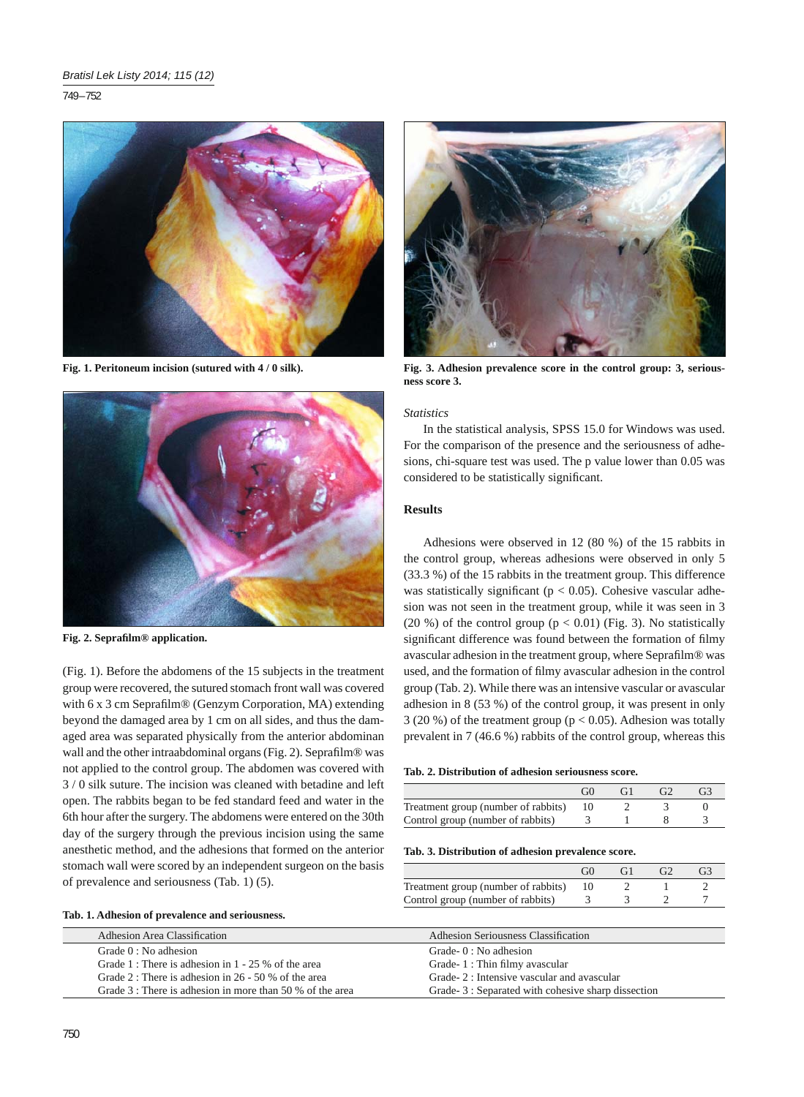749 – 752



**Fig. 1. Peritoneum incision (sutured with 4 / 0 silk).**



**Fig. 2. Seprafi lm® application.**

(Fig. 1). Before the abdomens of the 15 subjects in the treatment group were recovered, the sutured stomach front wall was covered with 6 x 3 cm Seprafilm® (Genzym Corporation, MA) extending beyond the damaged area by 1 cm on all sides, and thus the damaged area was separated physically from the anterior abdominan wall and the other intraabdominal organs (Fig. 2). Seprafilm® was not applied to the control group. The abdomen was covered with 3 / 0 silk suture. The incision was cleaned with betadine and left open. The rabbits began to be fed standard feed and water in the 6th hour after the surgery. The abdomens were entered on the 30th day of the surgery through the previous incision using the same anesthetic method, and the adhesions that formed on the anterior stomach wall were scored by an independent surgeon on the basis of prevalence and seriousness (Tab. 1) (5).

| Tab. 1. Adhesion of prevalence and seriousness. |  |
|-------------------------------------------------|--|
|                                                 |  |

**Fig. 3. Adhesion prevalence score in the control group: 3, seriousness score 3.**

## *Statistics*

In the statistical analysis, SPSS 15.0 for Windows was used. For the comparison of the presence and the seriousness of adhesions, chi-square test was used. The p value lower than 0.05 was considered to be statistically significant.

# **Results**

Adhesions were observed in 12 (80 %) of the 15 rabbits in the control group, whereas adhesions were observed in only 5 (33.3 %) of the 15 rabbits in the treatment group. This difference was statistically significant ( $p < 0.05$ ). Cohesive vascular adhesion was not seen in the treatment group, while it was seen in 3 (20 %) of the control group ( $p < 0.01$ ) (Fig. 3). No statistically significant difference was found between the formation of filmy avascular adhesion in the treatment group, where Seprafilm® was used, and the formation of filmy avascular adhesion in the control group (Tab. 2). While there was an intensive vascular or avascular adhesion in 8 (53 %) of the control group, it was present in only 3 (20 %) of the treatment group ( $p < 0.05$ ). Adhesion was totally prevalent in 7 (46.6 %) rabbits of the control group, whereas this

|                                     | G verte and the content of the content of the content of the content of the content of the content of the content of the content of the content of the content of the content of the content of the content of the content of | GH |  |
|-------------------------------------|-------------------------------------------------------------------------------------------------------------------------------------------------------------------------------------------------------------------------------|----|--|
| Treatment group (number of rabbits) |                                                                                                                                                                                                                               |    |  |
| Control group (number of rabbits)   |                                                                                                                                                                                                                               |    |  |

#### **Tab. 3. Distribution of adhesion prevalence score.**

|                                     | GC | G2 | G3 |
|-------------------------------------|----|----|----|
| Treatment group (number of rabbits) |    |    |    |
| Control group (number of rabbits)   |    |    |    |

| Adhesion Area Classification |                                                               | <b>Adhesion Seriousness Classification</b>        |  |
|------------------------------|---------------------------------------------------------------|---------------------------------------------------|--|
| Grade $0:$ No adhesion       |                                                               | Grade- $0:$ No adhesion                           |  |
|                              | Grade 1 : There is adhesion in $1 - 25$ % of the area         | Grade-1: Thin filmy avascular                     |  |
|                              | Grade 2 : There is adhesion in $26 - 50$ % of the area        | Grade- 2 : Intensive vascular and avascular       |  |
|                              | Grade $3$ : There is adhesion in more than $50\%$ of the area | Grade-3: Separated with cohesive sharp dissection |  |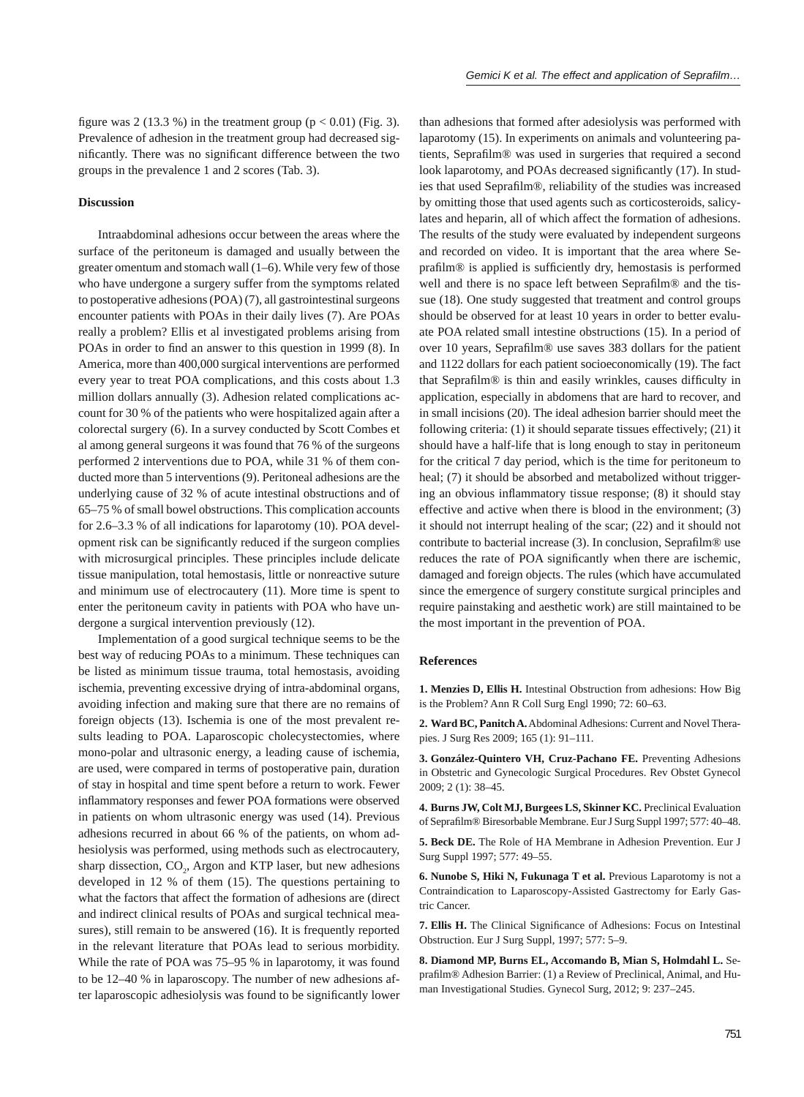figure was 2 (13.3 %) in the treatment group ( $p < 0.01$ ) (Fig. 3). Prevalence of adhesion in the treatment group had decreased significantly. There was no significant difference between the two groups in the prevalence 1 and 2 scores (Tab. 3).

#### **Discussion**

Intraabdominal adhesions occur between the areas where the surface of the peritoneum is damaged and usually between the greater omentum and stomach wall (1–6). While very few of those who have undergone a surgery suffer from the symptoms related to postoperative adhesions (POA) (7), all gastrointestinal surgeons encounter patients with POAs in their daily lives (7). Are POAs really a problem? Ellis et al investigated problems arising from POAs in order to find an answer to this question in 1999 (8). In America, more than 400,000 surgical interventions are performed every year to treat POA complications, and this costs about 1.3 million dollars annually (3). Adhesion related complications account for 30 % of the patients who were hospitalized again after a colorectal surgery (6). In a survey conducted by Scott Combes et al among general surgeons it was found that 76 % of the surgeons performed 2 interventions due to POA, while 31 % of them conducted more than 5 interventions (9). Peritoneal adhesions are the underlying cause of 32 % of acute intestinal obstructions and of 65–75 % of small bowel obstructions. This complication accounts for 2.6–3.3 % of all indications for laparotomy (10). POA development risk can be significantly reduced if the surgeon complies with microsurgical principles. These principles include delicate tissue manipulation, total hemostasis, little or nonreactive suture and minimum use of electrocautery (11). More time is spent to enter the peritoneum cavity in patients with POA who have undergone a surgical intervention previously (12).

Implementation of a good surgical technique seems to be the best way of reducing POAs to a minimum. These techniques can be listed as minimum tissue trauma, total hemostasis, avoiding ischemia, preventing excessive drying of intra-abdominal organs, avoiding infection and making sure that there are no remains of foreign objects (13). Ischemia is one of the most prevalent results leading to POA. Laparoscopic cholecystectomies, where mono-polar and ultrasonic energy, a leading cause of ischemia, are used, were compared in terms of postoperative pain, duration of stay in hospital and time spent before a return to work. Fewer inflammatory responses and fewer POA formations were observed in patients on whom ultrasonic energy was used (14). Previous adhesions recurred in about 66 % of the patients, on whom adhesiolysis was performed, using methods such as electrocautery, sharp dissection,  $CO<sub>2</sub>$ , Argon and KTP laser, but new adhesions developed in 12 % of them (15). The questions pertaining to what the factors that affect the formation of adhesions are (direct and indirect clinical results of POAs and surgical technical measures), still remain to be answered (16). It is frequently reported in the relevant literature that POAs lead to serious morbidity. While the rate of POA was 75–95 % in laparotomy, it was found to be 12–40 % in laparoscopy. The number of new adhesions after laparoscopic adhesiolysis was found to be significantly lower

than adhesions that formed after adesiolysis was performed with laparotomy (15). In experiments on animals and volunteering patients, Seprafilm® was used in surgeries that required a second look laparotomy, and POAs decreased significantly (17). In studies that used Seprafilm®, reliability of the studies was increased by omitting those that used agents such as corticosteroids, salicylates and heparin, all of which affect the formation of adhesions. The results of the study were evaluated by independent surgeons and recorded on video. It is important that the area where Seprafilm® is applied is sufficiently dry, hemostasis is performed well and there is no space left between Seprafilm® and the tissue (18). One study suggested that treatment and control groups should be observed for at least 10 years in order to better evaluate POA related small intestine obstructions (15). In a period of over 10 years, Seprafilm® use saves 383 dollars for the patient and 1122 dollars for each patient socioeconomically (19). The fact that Seprafilm® is thin and easily wrinkles, causes difficulty in application, especially in abdomens that are hard to recover, and in small incisions (20). The ideal adhesion barrier should meet the following criteria: (1) it should separate tissues effectively; (21) it should have a half-life that is long enough to stay in peritoneum for the critical 7 day period, which is the time for peritoneum to heal; (7) it should be absorbed and metabolized without triggering an obvious inflammatory tissue response;  $(8)$  it should stay effective and active when there is blood in the environment; (3) it should not interrupt healing of the scar; (22) and it should not contribute to bacterial increase  $(3)$ . In conclusion, Seprafilm® use reduces the rate of POA significantly when there are ischemic, damaged and foreign objects. The rules (which have accumulated since the emergence of surgery constitute surgical principles and require painstaking and aesthetic work) are still maintained to be the most important in the prevention of POA.

#### **References**

**1. Menzies D, Ellis H.** Intestinal Obstruction from adhesions: How Big is the Problem? Ann R Coll Surg Engl 1990; 72: 60–63.

**2. Ward BC, Panitch A.** Abdominal Adhesions: Current and Novel Therapies. J Surg Res 2009; 165 (1): 91–111.

**3. González-Quintero VH, Cruz-Pachano FE.** Preventing Adhesions in Obstetric and Gynecologic Surgical Procedures. Rev Obstet Gynecol 2009; 2 (1): 38–45.

**4. Burns JW, Colt MJ, Burgees LS, Skinner KC.** Preclinical Evaluation of Seprafilm® Biresorbable Membrane. Eur J Surg Suppl 1997; 577: 40-48.

**5. Beck DE.** The Role of HA Membrane in Adhesion Prevention. Eur J Surg Suppl 1997; 577: 49–55.

**6. Nunobe S, Hiki N, Fukunaga T et al.** Previous Laparotomy is not a Contraindication to Laparoscopy-Assisted Gastrectomy for Early Gastric Cancer.

**7. Ellis H.** The Clinical Significance of Adhesions: Focus on Intestinal Obstruction. Eur J Surg Suppl, 1997; 577: 5–9.

**8. Diamond MP, Burns EL, Accomando B, Mian S, Holmdahl L.** Seprafilm® Adhesion Barrier: (1) a Review of Preclinical, Animal, and Human Investigational Studies. Gynecol Surg, 2012; 9: 237–245.